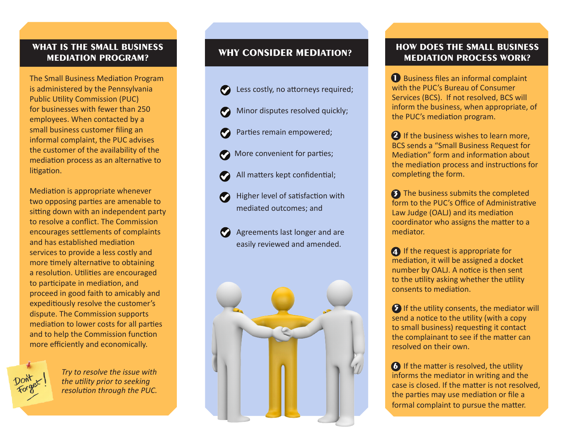#### **WHAT IS THE SMALL BUSINESS MEDIATION PROGRAM?**

The Small Business Mediation Program is administered by the Pennsylvania Public Utility Commission (PUC) for businesses with fewer than 250 employees. When contacted by a small business customer filing an informal complaint, the PUC advises the customer of the availability of the mediation process as an alternative to litigation.

Mediation is appropriate whenever two opposing parties are amenable to sitting down with an independent party to resolve a conflict. The Commission encourages settlements of complaints and has established mediation services to provide a less costly and more timely alternative to obtaining a resolution. Utilities are encouraged to participate in mediation, and proceed in good faith to amicably and expeditiously resolve the customer's dispute. The Commission supports mediation to lower costs for all parties and to help the Commission function more efficiently and economically.



*Try to resolve the issue with the utility prior to seeking resolution through the PUC.*

### **WHY CONSIDER MEDIATION?**

- Less costly, no attorneys required;
- Minor disputes resolved quickly;
- Parties remain empowered;
- **More convenient for parties;**
- All matters kept confidential;
- Higher level of satisfaction with mediated outcomes; and
- Agreements last longer and are easily reviewed and amended.



#### **HOW DOES THE SMALL BUSINESS MEDIATION PROCESS WORK?**

**1** Business files an informal complaint with the PUC's Bureau of Consumer Services (BCS). If not resolved, BCS will inform the business, when appropriate, of the PUC's mediation program.

2 If the business wishes to learn more, BCS sends a "Small Business Request for Mediation" form and information about the mediation process and instructions for completing the form.

**3** The business submits the completed form to the PUC's Office of Administrative Law Judge (OALJ) and its mediation coordinator who assigns the matter to a mediator.

**4** If the request is appropriate for mediation, it will be assigned a docket number by OALJ. A notice is then sent to the utility asking whether the utility consents to mediation.

**5** If the utility consents, the mediator will send a notice to the utility (with a copy to small business) requesting it contact the complainant to see if the matter can resolved on their own.

**6** If the matter is resolved, the utility informs the mediator in writing and the case is closed. If the matter is not resolved, the parties may use mediation or file a formal complaint to pursue the matter.